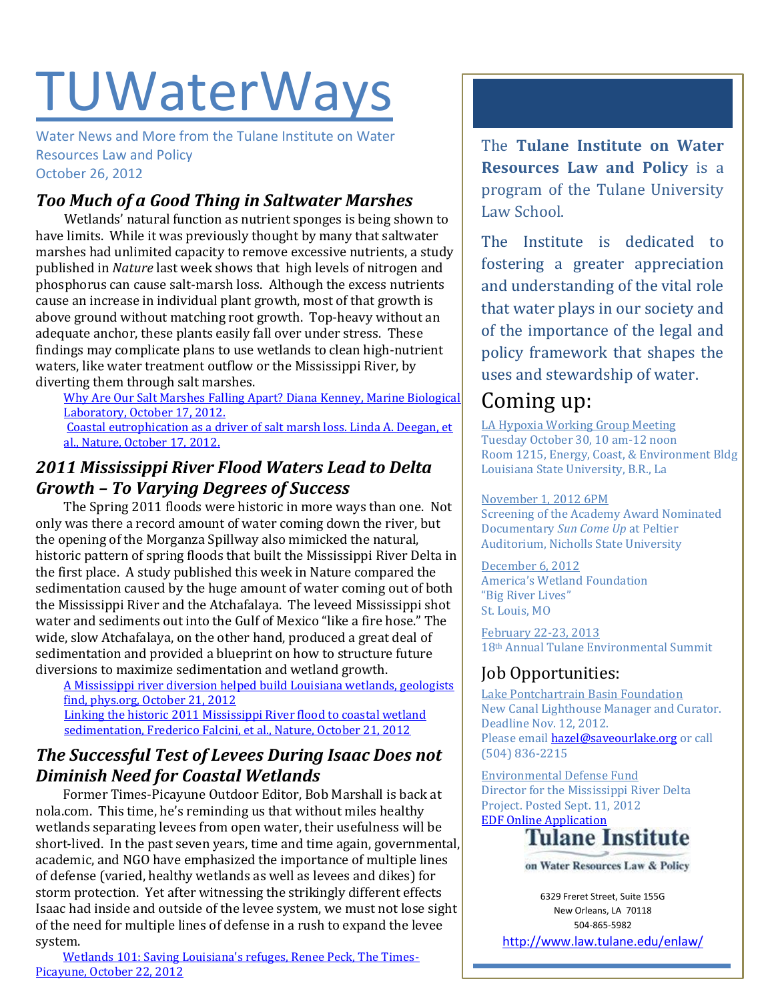# **TUWaterWays**

Water News and More from the Tulane Institute on Water Resources Law and Policy October 26, 2012

## *Too Much of a Good Thing in Saltwater Marshes*

Wetlands' natural function as nutrient sponges is being shown to have limits. While it was previously thought by many that saltwater marshes had unlimited capacity to remove excessive nutrients, a study published in *Nature* last week shows that high levels of nitrogen and phosphorus can cause salt-marsh loss. Although the excess nutrients cause an increase in individual plant growth, most of that growth is above ground without matching root growth. Top-heavy without an adequate anchor, these plants easily fall over under stress. These findings may complicate plans to use wetlands to clean high-nutrient waters, like water treatment outflow or the Mississippi River, by diverting them through salt marshes.

[Why Are Our Salt Marshes Falling Apart? Diana Kenney, Marine Biological](http://www.mbl.edu/blog/why-are-our-salt-marshes-falling-apart/)  [Laboratory, October 17, 2012.](http://www.mbl.edu/blog/why-are-our-salt-marshes-falling-apart/)

[Coastal eutrophication as a driver of salt marsh loss. Linda A. Deegan, et](http://www.nature.com/nature/journal/v490/n7420/full/nature11533.html)  [al., Nature, October 17, 2012.](http://www.nature.com/nature/journal/v490/n7420/full/nature11533.html)

#### *2011 Mississippi River Flood Waters Lead to Delta Growth – To Varying Degrees of Success*

The Spring 2011 floods were historic in more ways than one. Not only was there a record amount of water coming down the river, but the opening of the Morganza Spillway also mimicked the natural, historic pattern of spring floods that built the Mississippi River Delta in the first place. A study published this week in Nature compared the sedimentation caused by the huge amount of water coming out of both the Mississippi River and the Atchafalaya. The leveed Mississippi shot water and sediments out into the Gulf of Mexico "like a fire hose." The wide, slow Atchafalaya, on the other hand, produced a great deal of sedimentation and provided a blueprint on how to structure future diversions to maximize sedimentation and wetland growth.

[A Mississippi river diversion helped build Louisiana wetlands, geologists](http://phys.org/news/2012-10-mississippi-river-diversion-louisiana-wetlands.html#jCp)  [find, phys.org, October 21, 2012](http://phys.org/news/2012-10-mississippi-river-diversion-louisiana-wetlands.html#jCp) [Linking the historic 2011 Mississippi River flood to coastal wetland](http://www.nature.com/ngeo/journal/vaop/ncurrent/full/ngeo1615.html)  [sedimentation, Frederico Falcini, et al., Nature, October 21, 2012](http://www.nature.com/ngeo/journal/vaop/ncurrent/full/ngeo1615.html)

#### *The Successful Test of Levees During Isaac Does not Diminish Need for Coastal Wetlands*

Former Times-Picayune Outdoor Editor, Bob Marshall is back at nola.com. This time, he's reminding us that without miles healthy wetlands separating levees from open water, their usefulness will be short-lived. In the past seven years, time and time again, governmental, academic, and NGO have emphasized the importance of multiple lines of defense (varied, healthy wetlands as well as levees and dikes) for storm protection. Yet after witnessing the strikingly different effects Isaac had inside and outside of the levee system, we must not lose sight of the need for multiple lines of defense in a rush to expand the levee system.

#### [Wetlands 101: Saving Louisiana's refuges, Renee Peck, The Times-](http://www.nola.com/nolavie/index.ssf/2012/10/wetlands_101_saving_louisianas.html)[Picayune, October 22, 2012](http://www.nola.com/nolavie/index.ssf/2012/10/wetlands_101_saving_louisianas.html)

The **Tulane Institute on Water Resources Law and Policy** is a program of the Tulane University Law School.

The Institute is dedicated to fostering a greater appreciation and understanding of the vital role that water plays in our society and of the importance of the legal and policy framework that shapes the uses and stewardship of water.

## Coming up:

LA Hypoxia Working Group Meeting Tuesday October 30, 10 am-12 noon Room 1215, Energy, Coast, & Environment Bldg Louisiana State University, B.R., La

#### November 1, 2012 6PM

Screening of the Academy Award Nominated Documentary *Sun Come Up* at Peltier Auditorium, Nicholls State University

December 6, 2012 America's Wetland Foundation "Big River Lives" St. Louis, MO

February 22-23, 2013 18th Annual Tulane Environmental Summit

### Job Opportunities:

Lake Pontchartrain Basin Foundation New Canal Lighthouse Manager and Curator. Deadline Nov. 12, 2012. Please emai[l hazel@saveourlake.org](mailto:hazel@saveourlake.org) or call (504) 836-2215

Environmental Defense Fund Director for the Mississippi River Delta Project. Posted Sept. 11, 2012 **[EDF Online Application](http://www.edf.org/jobs/director-mississippi-river-delta-project)**<br>**Tulane Institute** 



on Water Resources Law & Policy

6329 Freret Street, Suite 155G New Orleans, LA 70118 504-865-5982

<http://www.law.tulane.edu/enlaw/>